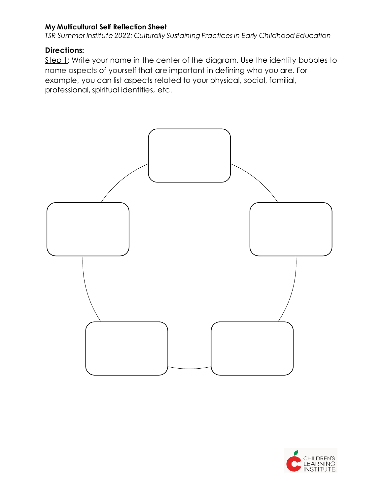*TSR Summer Institute 2022: Culturally Sustaining Practices in Early Childhood Education*

## **Directions:**

Step 1: Write your name in the center of the diagram. Use the identity bubbles to name aspects of yourself that are important in defining who you are. For example, you can list aspects related to your physical, social, familial, professional, spiritual identities, etc.



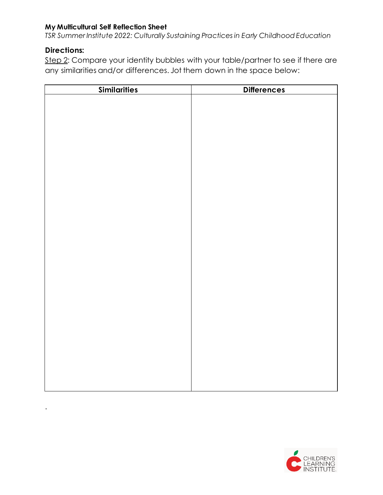*TSR Summer Institute 2022: Culturally Sustaining Practices in Early Childhood Education*

# **Directions:**

.

Step 2: Compare your identity bubbles with your table/partner to see if there are any similarities and/or differences. Jot them down in the space below:

| <b>Similarities</b> | <b>Differences</b> |  |
|---------------------|--------------------|--|
|                     |                    |  |
|                     |                    |  |
|                     |                    |  |
|                     |                    |  |
|                     |                    |  |
|                     |                    |  |
|                     |                    |  |
|                     |                    |  |
|                     |                    |  |
|                     |                    |  |
|                     |                    |  |
|                     |                    |  |
|                     |                    |  |
|                     |                    |  |
|                     |                    |  |
|                     |                    |  |
|                     |                    |  |
|                     |                    |  |
|                     |                    |  |
|                     |                    |  |
|                     |                    |  |
|                     |                    |  |
|                     |                    |  |
|                     |                    |  |
|                     |                    |  |
|                     |                    |  |
|                     |                    |  |
|                     |                    |  |
|                     |                    |  |
|                     |                    |  |

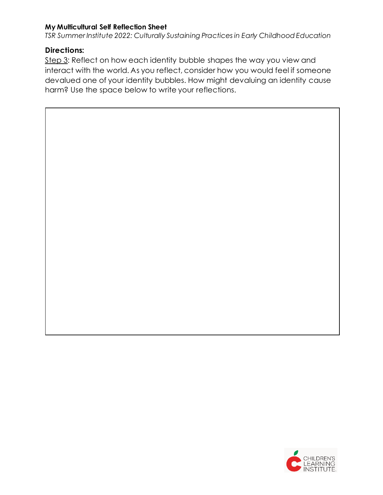*TSR Summer Institute 2022: Culturally Sustaining Practices in Early Childhood Education*

## **Directions:**

 $\overline{\phantom{a}}$ 

Step 3: Reflect on how each identity bubble shapes the way you view and interact with the world. As you reflect, consider how you would feel if someone devalued one of your identity bubbles. How might devaluing an identity cause harm? Use the space below to write your reflections.